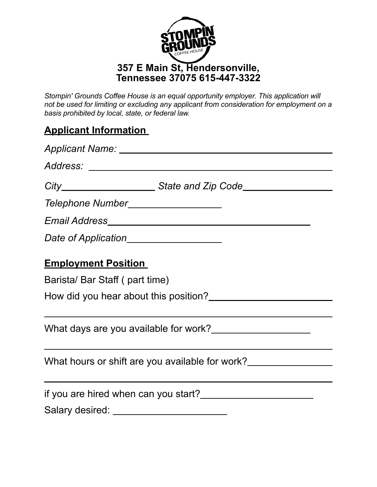

*Stompin' Grounds Coffee House is an equal opportunity employer. This application will not be used for limiting or excluding any applicant from consideration for employment on a basis prohibited by local, state, or federal law.* 

## **Applicant Information**

| Applicant Name: Name: Name and Applicant Name and Applicant Name and Applicant Material Applicant Material Applicant Material Applicant Material Applicant Material Applicant Material Applicant Material Applicant Material A |
|--------------------------------------------------------------------------------------------------------------------------------------------------------------------------------------------------------------------------------|
|                                                                                                                                                                                                                                |
| City____________________________State and Zip Code______________________________                                                                                                                                               |
| Telephone Number_____________________                                                                                                                                                                                          |
|                                                                                                                                                                                                                                |
| Date of Application____________________                                                                                                                                                                                        |
| <b>Employment Position</b>                                                                                                                                                                                                     |
| Barista/ Bar Staff (part time)                                                                                                                                                                                                 |
|                                                                                                                                                                                                                                |
|                                                                                                                                                                                                                                |
| <u> 1989 - Johann Barn, amerikansk politiker (d. 1989)</u><br>What hours or shift are you available for work?                                                                                                                  |
|                                                                                                                                                                                                                                |
|                                                                                                                                                                                                                                |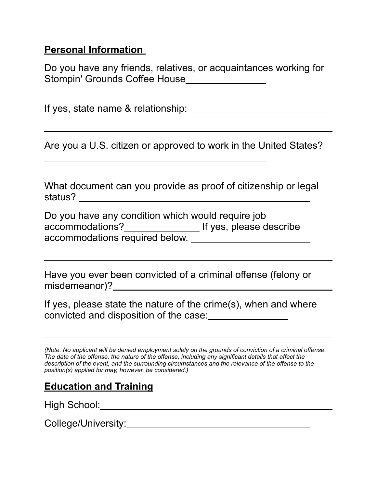#### **Personal Information**

Do you have any friends, relatives, or acquaintances working for Stompin' Grounds Coffee House\_\_\_\_\_\_\_\_\_\_\_\_\_\_\_\_\_

If yes, state name & relationship:

Are you a U.S. citizen or approved to work in the United States?

What document can you provide as proof of citizenship or legal status?

Do you have any condition which would require job accommodations? If yes, please describe accommodations required below.

Have you ever been convicted of a criminal offense (felony or misdemeanor)? <u> 1980 - Johann Barbara, martxa alemaniar arg</u>

If yes, please state the nature of the crime(s), when and where convicted and disposition of the case:

*(Note: No applicant will be denied employment solely on the grounds of conviction of a criminal offense. The date of the offense, the nature of the offense, including any significant details that affect the description of the event, and the surrounding circumstances and the relevance of the offense to the position(s) applied for may, however, be considered.)* 

### **Education and Training**

High School:

College/University: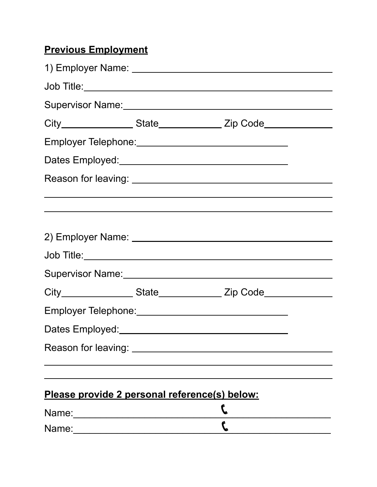# **Previous Employment**

|                                                      | Dates Employed:<br><u> Dates</u> Employed:                                       |  |
|------------------------------------------------------|----------------------------------------------------------------------------------|--|
|                                                      |                                                                                  |  |
|                                                      |                                                                                  |  |
|                                                      |                                                                                  |  |
|                                                      |                                                                                  |  |
|                                                      |                                                                                  |  |
|                                                      | City__________________State________________Zip Code_____________________________ |  |
|                                                      |                                                                                  |  |
|                                                      |                                                                                  |  |
|                                                      |                                                                                  |  |
|                                                      |                                                                                  |  |
| <u>Please provide 2 personal reference(s) below:</u> |                                                                                  |  |
|                                                      |                                                                                  |  |
|                                                      |                                                                                  |  |